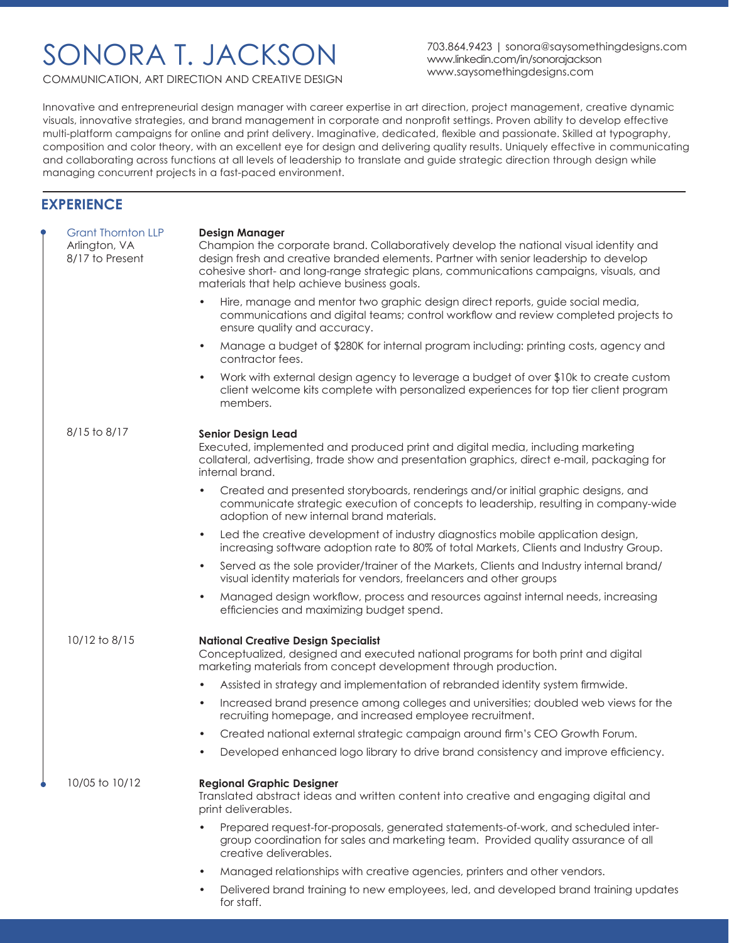## SONORA T. JACKSON

703.864.9423 | sonora@saysomethingdesigns.com www.linkedin.com/in/sonorajackson www.saysomethingdesigns.com

COMMUNICATION, ART DIRECTION AND CREATIVE DESIGN

Innovative and entrepreneurial design manager with career expertise in art direction, project management, creative dynamic visuals, innovative strategies, and brand management in corporate and nonprofit settings. Proven ability to develop effective multi-platform campaigns for online and print delivery. Imaginative, dedicated, flexible and passionate. Skilled at typography, composition and color theory, with an excellent eye for design and delivering quality results. Uniquely effective in communicating and collaborating across functions at all levels of leadership to translate and guide strategic direction through design while managing concurrent projects in a fast-paced environment.

### **EXPERIENCE**

| <b>Grant Thornton LLP</b><br>Arlington, VA<br>8/17 to Present | <b>Design Manager</b><br>Champion the corporate brand. Collaboratively develop the national visual identity and<br>design fresh and creative branded elements. Partner with senior leadership to develop<br>cohesive short- and long-range strategic plans, communications campaigns, visuals, and<br>materials that help achieve business goals. |
|---------------------------------------------------------------|---------------------------------------------------------------------------------------------------------------------------------------------------------------------------------------------------------------------------------------------------------------------------------------------------------------------------------------------------|
|                                                               | Hire, manage and mentor two graphic design direct reports, guide social media,<br>communications and digital teams; control workflow and review completed projects to<br>ensure quality and accuracy.                                                                                                                                             |
|                                                               | Manage a budget of \$280K for internal program including: printing costs, agency and<br>$\bullet$<br>contractor fees.                                                                                                                                                                                                                             |
|                                                               | Work with external design agency to leverage a budget of over \$10k to create custom<br>$\bullet$<br>client welcome kits complete with personalized experiences for top tier client program<br>members.                                                                                                                                           |
| 8/15 to 8/17                                                  | <b>Senior Design Lead</b><br>Executed, implemented and produced print and digital media, including marketing<br>collateral, advertising, trade show and presentation graphics, direct e-mail, packaging for<br>internal brand.                                                                                                                    |
|                                                               | Created and presented storyboards, renderings and/or initial graphic designs, and<br>$\bullet$<br>communicate strategic execution of concepts to leadership, resulting in company-wide<br>adoption of new internal brand materials.                                                                                                               |
|                                                               | Led the creative development of industry diagnostics mobile application design,<br>$\bullet$<br>increasing software adoption rate to 80% of total Markets, Clients and Industry Group.                                                                                                                                                            |
|                                                               | Served as the sole provider/trainer of the Markets, Clients and Industry internal brand/<br>$\bullet$<br>visual identity materials for vendors, freelancers and other groups                                                                                                                                                                      |
|                                                               | Managed design workflow, process and resources against internal needs, increasing<br>$\bullet$<br>efficiencies and maximizing budget spend.                                                                                                                                                                                                       |
| 10/12 to 8/15                                                 | <b>National Creative Design Specialist</b><br>Conceptualized, designed and executed national programs for both print and digital<br>marketing materials from concept development through production.                                                                                                                                              |
|                                                               | Assisted in strategy and implementation of rebranded identity system firmwide.<br>$\bullet$                                                                                                                                                                                                                                                       |
|                                                               | Increased brand presence among colleges and universities; doubled web views for the<br>$\bullet$<br>recruiting homepage, and increased employee recruitment.                                                                                                                                                                                      |
|                                                               | Created national external strategic campaign around firm's CEO Growth Forum.<br>$\bullet$                                                                                                                                                                                                                                                         |
|                                                               | Developed enhanced logo library to drive brand consistency and improve efficiency.                                                                                                                                                                                                                                                                |
| 10/05 to 10/12                                                | <b>Regional Graphic Designer</b><br>Translated abstract ideas and written content into creative and engaging digital and<br>print deliverables.                                                                                                                                                                                                   |
|                                                               | Prepared request-for-proposals, generated statements-of-work, and scheduled inter-<br>group coordination for sales and marketing team. Provided quality assurance of all<br>creative deliverables.                                                                                                                                                |
|                                                               | Managed relationships with creative agencies, printers and other vendors.<br>$\bullet$                                                                                                                                                                                                                                                            |
|                                                               | Delivered brand training to new employees, led, and developed brand training updates<br>for staff.                                                                                                                                                                                                                                                |